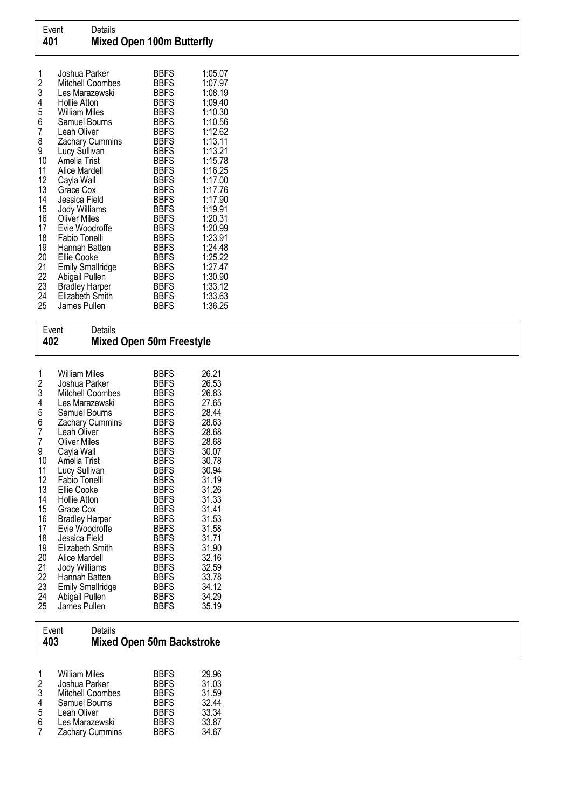| 1<br>2<br>3<br>4 | Joshua Parker<br>Mitchell Coombes<br>Les Marazewski<br>Hollie Atton | <b>BBFS</b><br><b>BBFS</b><br><b>BBFS</b><br><b>BBFS</b> | 1:05.07<br>1:07.97<br>1:08.19<br>1:09.40 |
|------------------|---------------------------------------------------------------------|----------------------------------------------------------|------------------------------------------|
| 5                | William Miles                                                       | <b>BBFS</b>                                              | 1:10.30                                  |
| 6<br>7           | Samuel Bourns                                                       | <b>BBFS</b>                                              | 1:10.56                                  |
| 8                | Leah Oliver<br><b>Zachary Cummins</b>                               | <b>BBFS</b><br><b>BBFS</b>                               | 1:12.62<br>1:13.11                       |
| 9                | Lucy Sullivan                                                       | <b>BBFS</b>                                              | 1:13.21                                  |
| 10               | Amelia Trist                                                        | <b>BBFS</b>                                              | 1:15.78                                  |
| 11               | Alice Mardell                                                       | <b>BBFS</b>                                              | 1:16.25                                  |
| 12<br>13         | Cayla Wall<br>Grace Cox                                             | <b>BBFS</b><br><b>BBFS</b>                               | 1:17.00<br>1:17.76                       |
| 14               | Jessica Field                                                       | <b>BBFS</b>                                              | 1:17.90                                  |
| 15               | Jody Williams                                                       | <b>BBFS</b>                                              | 1:19.91                                  |
| 16               | <b>Oliver Miles</b>                                                 | <b>BBFS</b>                                              | 1:20.31                                  |
| 17               | Evie Woodroffe                                                      | <b>BBFS</b>                                              | 1:20.99                                  |
| 18<br>19         | Fabio Tonelli<br>Hannah Batten                                      | <b>BBFS</b><br><b>BBFS</b>                               | 1:23.91<br>1:24.48                       |
| 20               | Ellie Cooke                                                         | <b>BBFS</b>                                              | 1:25.22                                  |
| 21               | <b>Emily Smallridge</b>                                             | <b>BBFS</b>                                              | 1:27.47                                  |
| 22               | Abigail Pullen                                                      | <b>BBFS</b>                                              | 1:30.90                                  |
| 23               | <b>Bradley Harper</b>                                               | <b>BBFS</b>                                              | 1:33.12                                  |
| 24<br>25         | Elizabeth Smith<br>James Pullen                                     | <b>BBFS</b><br><b>BBFS</b>                               | 1:33.63<br>1:36.25                       |
|                  |                                                                     |                                                          |                                          |

| Event<br>402                                                                                                                      | Details                                                                                                                                                                                                                                                                                                                                                                                                                                                                 | Mixed Open 50m Freestyle                                                                                                                                                                                                                                                                                                                                                            |                                                                                                                                                                                                                               |  |  |
|-----------------------------------------------------------------------------------------------------------------------------------|-------------------------------------------------------------------------------------------------------------------------------------------------------------------------------------------------------------------------------------------------------------------------------------------------------------------------------------------------------------------------------------------------------------------------------------------------------------------------|-------------------------------------------------------------------------------------------------------------------------------------------------------------------------------------------------------------------------------------------------------------------------------------------------------------------------------------------------------------------------------------|-------------------------------------------------------------------------------------------------------------------------------------------------------------------------------------------------------------------------------|--|--|
| 1<br>2<br>3<br>4<br>567<br>7<br>9<br>10<br>11<br>12<br>13<br>14<br>15<br>16<br>17<br>18<br>19<br>20<br>21<br>22<br>23<br>24<br>25 | <b>William Miles</b><br>Joshua Parker<br>Mitchell Coombes<br>Les Marazewski<br>Samuel Bourns<br>Zachary Cummins<br>Leah Oliver<br><b>Oliver Miles</b><br>Cayla Wall<br>Amelia Trist<br>Lucy Sullivan<br>Fabio Tonelli<br>Ellie Cooke<br>Hollie Atton<br>Grace Cox<br><b>Bradley Harper</b><br>Evie Woodroffe<br>Jessica Field<br>Elizabeth Smith<br>Alice Mardell<br><b>Jody Williams</b><br>Hannah Batten<br><b>Emily Smallridge</b><br>Abigail Pullen<br>James Pullen | <b>BBFS</b><br><b>BBFS</b><br><b>BBFS</b><br><b>BBFS</b><br><b>BBFS</b><br><b>BBFS</b><br><b>BBFS</b><br><b>BBFS</b><br><b>BBFS</b><br><b>BBFS</b><br><b>BBFS</b><br><b>BBFS</b><br><b>BBFS</b><br><b>BBFS</b><br><b>BBFS</b><br><b>BBFS</b><br><b>BBFS</b><br><b>BBFS</b><br><b>BBFS</b><br><b>BBFS</b><br><b>BBFS</b><br><b>BBFS</b><br><b>BBFS</b><br><b>BBFS</b><br><b>BBFS</b> | 26.21<br>26.53<br>26.83<br>27.65<br>28.44<br>28.63<br>28.68<br>28.68<br>30.07<br>30.78<br>30.94<br>31.19<br>31.26<br>31.33<br>31.41<br>31.53<br>31.58<br>31.71<br>31.90<br>32.16<br>32.59<br>33.78<br>34.12<br>34.29<br>35.19 |  |  |

| Event<br>403                       | Details                                                                                                                               | <b>Mixed Open 50m Backstroke</b>                                                                      |                                                             |
|------------------------------------|---------------------------------------------------------------------------------------------------------------------------------------|-------------------------------------------------------------------------------------------------------|-------------------------------------------------------------|
| 2<br>3<br>$\overline{4}$<br>5<br>6 | <b>William Miles</b><br>Joshua Parker<br><b>Mitchell Coombes</b><br>Samuel Bourns<br>Leah Oliver<br>Les Marazewski<br>Zachary Cummins | <b>BBFS</b><br><b>BBFS</b><br><b>BBFS</b><br><b>BBFS</b><br><b>BBFS</b><br><b>BBFS</b><br><b>BBFS</b> | 29.96<br>31.03<br>31.59<br>32.44<br>33.34<br>33.87<br>34.67 |